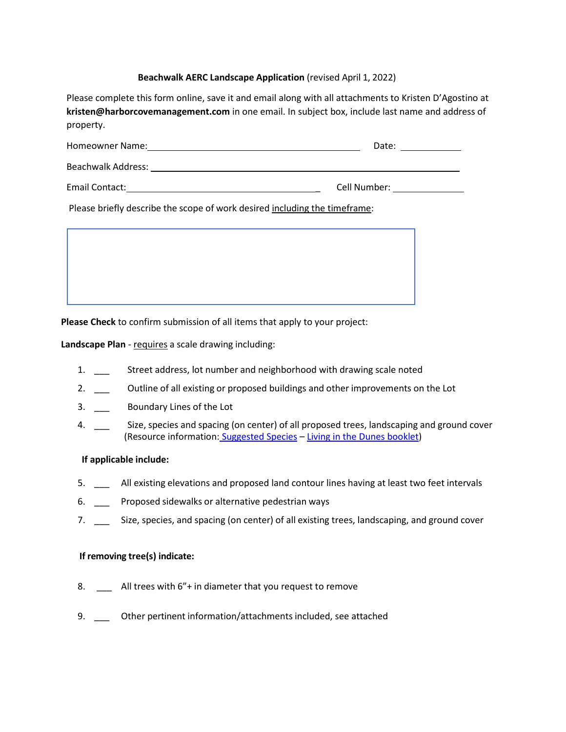## **Beachwalk AERC Landscape Application** (revised April 1, 2022)

Please complete this form online, save it and email along with all attachments to Kristen D'Agostino at **kristen@harborcovemanagement.com** in one email. In subject box, include last name and address of property.

| Homeowner Name:           | Date:        |
|---------------------------|--------------|
| <b>Beachwalk Address:</b> |              |
| Email Contact:            | Cell Number: |

Please briefly describe the scope of work desired including the timeframe:



**Please Check** to confirm submission of all items that apply to your project:

**Landscape Plan** - requires a scale drawing including:

- 1. \_\_\_ Street address, lot number and neighborhood with drawing scale noted
- 2. \_\_\_ Outline of all existing or proposed buildings and other improvements on the Lot
- 3. \_\_\_ Boundary Lines of the Lot
- 4. \_\_\_ Size, species and spacing (on center) of all proposed trees, landscaping and ground cover (Resource information: [Suggested Species](https://www.beachwalkhomeowners.com/resources/Site/Beachwalk%20Suggested%20Species%203.1%5b4968%5d.pdf) – [Living in the Dunes booklet\)](https://www.beachwalkhomeowners.com/resources/Site/Living%20in%20the%20Dunes_Save%20the%20Dunes%20booklet.pdf)

## **If applicable include:**

- 5. \_\_\_ All existing elevations and proposed land contour lines having at least two feet intervals
- 6. \_\_\_ Proposed sidewalks or alternative pedestrian ways
- 7. \_\_\_ Size, species, and spacing (on center) of all existing trees, landscaping, and ground cover

## **If removing tree(s) indicate:**

- 8. \_\_\_ All trees with 6"+ in diameter that you request to remove
- 9. \_\_\_ Other pertinent information/attachments included, see attached